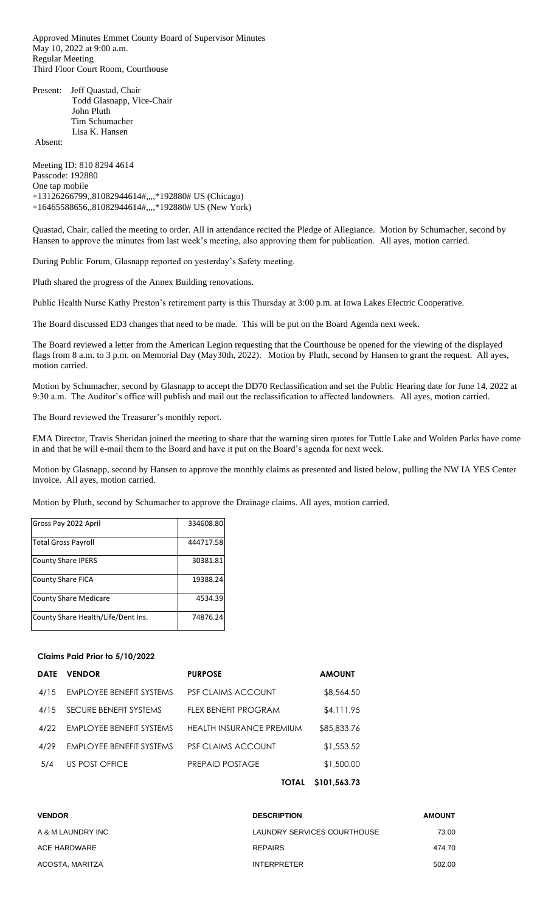Approved Minutes Emmet County Board of Supervisor Minutes May 10, 2022 at 9:00 a.m. Regular Meeting Third Floor Court Room, Courthouse

Present: Jeff Quastad, Chair Todd Glasnapp, Vice-Chair John Pluth Tim Schumacher Lisa K. Hansen

Absent:

Meeting ID: 810 8294 4614 Passcode: 192880 One tap mobile +13126266799,,81082944614#,,,,\*192880# US (Chicago) +16465588656,,81082944614#,,,,\*192880# US (New York)

Quastad, Chair, called the meeting to order. All in attendance recited the Pledge of Allegiance. Motion by Schumacher, second by Hansen to approve the minutes from last week's meeting, also approving them for publication. All ayes, motion carried.

During Public Forum, Glasnapp reported on yesterday's Safety meeting.

Pluth shared the progress of the Annex Building renovations.

Public Health Nurse Kathy Preston's retirement party is this Thursday at 3:00 p.m. at Iowa Lakes Electric Cooperative.

The Board discussed ED3 changes that need to be made. This will be put on the Board Agenda next week.

The Board reviewed a letter from the American Legion requesting that the Courthouse be opened for the viewing of the displayed flags from 8 a.m. to 3 p.m. on Memorial Day (May30th, 2022). Motion by Pluth, second by Hansen to grant the request. All ayes, motion carried.

Motion by Schumacher, second by Glasnapp to accept the DD70 Reclassification and set the Public Hearing date for June 14, 2022 at 9:30 a.m. The Auditor's office will publish and mail out the reclassification to affected landowners. All ayes, motion carried.

The Board reviewed the Treasurer's monthly report.

EMA Director, Travis Sheridan joined the meeting to share that the warning siren quotes for Tuttle Lake and Wolden Parks have come in and that he will e-mail them to the Board and have it put on the Board's agenda for next week.

Motion by Glasnapp, second by Hansen to approve the monthly claims as presented and listed below, pulling the NW IA YES Center invoice. All ayes, motion carried.

Motion by Pluth, second by Schumacher to approve the Drainage claims. All ayes, motion carried.

| Gross Pay 2022 April               | 334608.80 |
|------------------------------------|-----------|
| <b>Total Gross Payroll</b>         | 444717.58 |
| <b>County Share IPERS</b>          | 30381.81  |
| <b>County Share FICA</b>           | 19388.24  |
| <b>County Share Medicare</b>       | 4534.39   |
| County Share Health/Life/Dent Ins. | 74876.24  |

# **Claims Paid Prior to 5/10/2022**

| <b>DATE</b> | <b>VENDOR</b>                   | <b>PURPOSE</b>                  | <b>AMOUNT</b> |
|-------------|---------------------------------|---------------------------------|---------------|
| 4/15        | <b>EMPLOYEE BENEFIT SYSTEMS</b> | <b>PSF CLAIMS ACCOUNT</b>       | \$8,564.50    |
| 4/15        | SECURE BENEFIT SYSTEMS          | FLEX BENEFIT PROGRAM            | \$4,111.95    |
| 4/22        | <b>EMPLOYEE BENEFIT SYSTEMS</b> | <b>HEALTH INSURANCE PREMIUM</b> | \$85,833.76   |
| 4/29        | EMPLOYEE BENEFIT SYSTEMS        | <b>PSF CLAIMS ACCOUNT</b>       | \$1,553.52    |
| 5/4         | US POST OFFICE                  | PREPAID POSTAGE                 | \$1,500.00    |
|             |                                 | TOTAL                           | \$101,563.73  |

| <b>VENDOR</b>     | <b>DESCRIPTION</b>          | <b>AMOUNT</b> |
|-------------------|-----------------------------|---------------|
| A & M LAUNDRY INC | LAUNDRY SERVICES COURTHOUSE | 73.00         |
| ACE HARDWARE      | <b>REPAIRS</b>              | 474.70        |
| ACOSTA, MARITZA   | <b>INTERPRETER</b>          | 502.00        |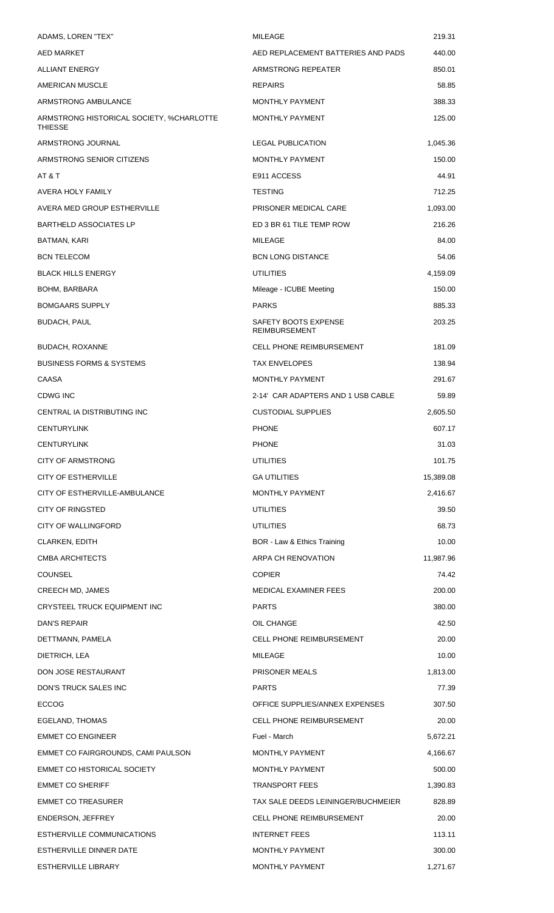| ADAMS, LOREN "TEX"                                  | MILEAGE                                      | 219.31    |
|-----------------------------------------------------|----------------------------------------------|-----------|
| AED MARKET                                          | AED REPLACEMENT BATTERIES AND PADS           | 440.00    |
| <b>ALLIANT ENERGY</b>                               | ARMSTRONG REPEATER                           | 850.01    |
| AMERICAN MUSCLE                                     | <b>REPAIRS</b>                               | 58.85     |
| ARMSTRONG AMBULANCE                                 | MONTHLY PAYMENT                              | 388.33    |
| ARMSTRONG HISTORICAL SOCIETY, %CHARLOTTE<br>THIESSE | <b>MONTHLY PAYMENT</b>                       | 125.00    |
| ARMSTRONG JOURNAL                                   | <b>LEGAL PUBLICATION</b>                     | 1,045.36  |
| ARMSTRONG SENIOR CITIZENS                           | <b>MONTHLY PAYMENT</b>                       | 150.00    |
| AT & T                                              | E911 ACCESS                                  | 44.91     |
| AVERA HOLY FAMILY                                   | <b>TESTING</b>                               | 712.25    |
| AVERA MED GROUP ESTHERVILLE                         | PRISONER MEDICAL CARE                        | 1,093.00  |
| <b>BARTHELD ASSOCIATES LP</b>                       | ED 3 BR 61 TILE TEMP ROW                     | 216.26    |
| BATMAN, KARI                                        | MILEAGE                                      | 84.00     |
| <b>BCN TELECOM</b>                                  | <b>BCN LONG DISTANCE</b>                     | 54.06     |
| <b>BLACK HILLS ENERGY</b>                           | UTILITIES                                    | 4,159.09  |
| BOHM, BARBARA                                       | Mileage - ICUBE Meeting                      | 150.00    |
| <b>BOMGAARS SUPPLY</b>                              | <b>PARKS</b>                                 | 885.33    |
| <b>BUDACH, PAUL</b>                                 | SAFETY BOOTS EXPENSE<br><b>REIMBURSEMENT</b> | 203.25    |
| <b>BUDACH, ROXANNE</b>                              | <b>CELL PHONE REIMBURSEMENT</b>              | 181.09    |
| <b>BUSINESS FORMS &amp; SYSTEMS</b>                 | <b>TAX ENVELOPES</b>                         | 138.94    |
| CAASA                                               | <b>MONTHLY PAYMENT</b>                       | 291.67    |
| CDWG INC                                            | 2-14' CAR ADAPTERS AND 1 USB CABLE           | 59.89     |
| CENTRAL IA DISTRIBUTING INC                         | <b>CUSTODIAL SUPPLIES</b>                    | 2,605.50  |
| <b>CENTURYLINK</b>                                  | <b>PHONE</b>                                 | 607.17    |
| <b>CENTURYLINK</b>                                  | <b>PHONE</b>                                 | 31.03     |
| <b>CITY OF ARMSTRONG</b>                            | <b>UTILITIES</b>                             | 101.75    |
| <b>CITY OF ESTHERVILLE</b>                          | <b>GA UTILITIES</b>                          | 15,389.08 |
| CITY OF ESTHERVILLE-AMBULANCE                       | <b>MONTHLY PAYMENT</b>                       | 2,416.67  |
| <b>CITY OF RINGSTED</b>                             | <b>UTILITIES</b>                             | 39.50     |
| <b>CITY OF WALLINGFORD</b>                          | <b>UTILITIES</b>                             | 68.73     |
| CLARKEN, EDITH                                      | BOR - Law & Ethics Training                  | 10.00     |
| <b>CMBA ARCHITECTS</b>                              | ARPA CH RENOVATION                           | 11,987.96 |
| <b>COUNSEL</b>                                      | <b>COPIER</b>                                | 74.42     |
| CREECH MD, JAMES                                    | <b>MEDICAL EXAMINER FEES</b>                 | 200.00    |
| CRYSTEEL TRUCK EQUIPMENT INC                        | <b>PARTS</b>                                 | 380.00    |
| DAN'S REPAIR                                        | OIL CHANGE                                   | 42.50     |
| DETTMANN, PAMELA                                    | <b>CELL PHONE REIMBURSEMENT</b>              | 20.00     |
| DIETRICH, LEA                                       | MILEAGE                                      | 10.00     |
| DON JOSE RESTAURANT                                 | <b>PRISONER MEALS</b>                        | 1,813.00  |
| DON'S TRUCK SALES INC                               | <b>PARTS</b>                                 | 77.39     |
| <b>ECCOG</b>                                        | OFFICE SUPPLIES/ANNEX EXPENSES               | 307.50    |
| EGELAND, THOMAS                                     | <b>CELL PHONE REIMBURSEMENT</b>              | 20.00     |
| <b>EMMET CO ENGINEER</b>                            | Fuel - March                                 | 5,672.21  |
| EMMET CO FAIRGROUNDS, CAMI PAULSON                  | <b>MONTHLY PAYMENT</b>                       | 4,166.67  |
| <b>EMMET CO HISTORICAL SOCIETY</b>                  | <b>MONTHLY PAYMENT</b>                       | 500.00    |
| <b>EMMET CO SHERIFF</b>                             | <b>TRANSPORT FEES</b>                        | 1,390.83  |
| <b>EMMET CO TREASURER</b>                           | TAX SALE DEEDS LEININGER/BUCHMEIER           | 828.89    |
| <b>ENDERSON, JEFFREY</b>                            | <b>CELL PHONE REIMBURSEMENT</b>              | 20.00     |
| ESTHERVILLE COMMUNICATIONS                          | <b>INTERNET FEES</b>                         | 113.11    |
| ESTHERVILLE DINNER DATE                             | MONTHLY PAYMENT                              | 300.00    |
| ESTHERVILLE LIBRARY                                 | MONTHLY PAYMENT                              | 1,271.67  |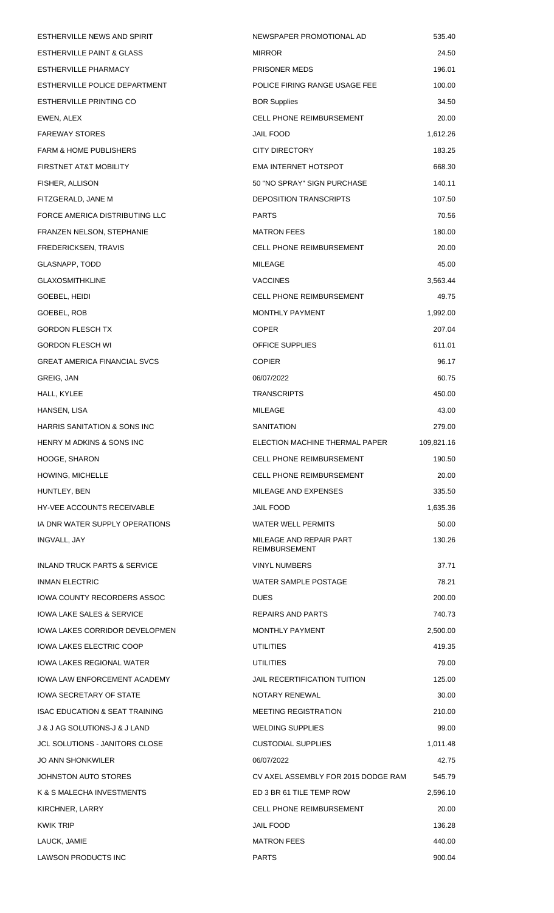| ESTHERVILLE NEWS AND SPIRIT             | NEWSPAPER PROMOTIONAL AD                        | 535.40     |
|-----------------------------------------|-------------------------------------------------|------------|
| <b>ESTHERVILLE PAINT &amp; GLASS</b>    | <b>MIRROR</b>                                   | 24.50      |
| ESTHERVILLE PHARMACY                    | PRISONER MEDS                                   | 196.01     |
| ESTHERVILLE POLICE DEPARTMENT           | POLICE FIRING RANGE USAGE FEE                   | 100.00     |
| ESTHERVILLE PRINTING CO                 | <b>BOR Supplies</b>                             | 34.50      |
| EWEN, ALEX                              | <b>CELL PHONE REIMBURSEMENT</b>                 | 20.00      |
| <b>FAREWAY STORES</b>                   | <b>JAIL FOOD</b>                                | 1,612.26   |
| <b>FARM &amp; HOME PUBLISHERS</b>       | <b>CITY DIRECTORY</b>                           | 183.25     |
| FIRSTNET AT&T MOBILITY                  | <b>EMA INTERNET HOTSPOT</b>                     | 668.30     |
| FISHER, ALLISON                         | 50 "NO SPRAY" SIGN PURCHASE                     | 140.11     |
| FITZGERALD, JANE M                      | <b>DEPOSITION TRANSCRIPTS</b>                   | 107.50     |
| FORCE AMERICA DISTRIBUTING LLC          | <b>PARTS</b>                                    | 70.56      |
| <b>FRANZEN NELSON, STEPHANIE</b>        | <b>MATRON FEES</b>                              | 180.00     |
| FREDERICKSEN, TRAVIS                    | <b>CELL PHONE REIMBURSEMENT</b>                 | 20.00      |
| GLASNAPP, TODD                          | MILEAGE                                         | 45.00      |
| <b>GLAXOSMITHKLINE</b>                  | <b>VACCINES</b>                                 | 3,563.44   |
| GOEBEL, HEIDI                           | <b>CELL PHONE REIMBURSEMENT</b>                 | 49.75      |
| GOEBEL, ROB                             | <b>MONTHLY PAYMENT</b>                          | 1,992.00   |
| <b>GORDON FLESCH TX</b>                 | <b>COPER</b>                                    | 207.04     |
| <b>GORDON FLESCH WI</b>                 | <b>OFFICE SUPPLIES</b>                          | 611.01     |
| <b>GREAT AMERICA FINANCIAL SVCS</b>     | <b>COPIER</b>                                   | 96.17      |
| GREIG, JAN                              | 06/07/2022                                      | 60.75      |
| HALL, KYLEE                             | <b>TRANSCRIPTS</b>                              | 450.00     |
| HANSEN, LISA                            | <b>MILEAGE</b>                                  | 43.00      |
| <b>HARRIS SANITATION &amp; SONS INC</b> | <b>SANITATION</b>                               | 279.00     |
| HENRY M ADKINS & SONS INC               | ELECTION MACHINE THERMAL PAPER                  | 109,821.16 |
| <b>HOOGE, SHARON</b>                    | <b>CELL PHONE REIMBURSEMENT</b>                 | 190.50     |
| <b>HOWING, MICHELLE</b>                 | CELL PHONE REIMBURSEMENT                        | 20.00      |
| HUNTLEY, BEN                            | MILEAGE AND EXPENSES                            | 335.50     |
| <b>HY-VEE ACCOUNTS RECEIVABLE</b>       | JAIL FOOD                                       | 1,635.36   |
| IA DNR WATER SUPPLY OPERATIONS          | WATER WELL PERMITS                              | 50.00      |
| INGVALL, JAY                            | MILEAGE AND REPAIR PART<br><b>REIMBURSEMENT</b> | 130.26     |
| <b>INLAND TRUCK PARTS &amp; SERVICE</b> | <b>VINYL NUMBERS</b>                            | 37.71      |
| <b>INMAN ELECTRIC</b>                   | <b>WATER SAMPLE POSTAGE</b>                     | 78.21      |
| IOWA COUNTY RECORDERS ASSOC             | <b>DUES</b>                                     | 200.00     |
| IOWA LAKE SALES & SERVICE               | REPAIRS AND PARTS                               | 740.73     |
| IOWA LAKES CORRIDOR DEVELOPMEN          | <b>MONTHLY PAYMENT</b>                          | 2,500.00   |
| IOWA LAKES ELECTRIC COOP                | UTILITIES                                       | 419.35     |
| IOWA LAKES REGIONAL WATER               | UTILITIES                                       | 79.00      |
| IOWA LAW ENFORCEMENT ACADEMY            | JAIL RECERTIFICATION TUITION                    | 125.00     |
| <b>IOWA SECRETARY OF STATE</b>          | NOTARY RENEWAL                                  | 30.00      |
| ISAC EDUCATION & SEAT TRAINING          | <b>MEETING REGISTRATION</b>                     | 210.00     |
| J & J AG SOLUTIONS-J & J LAND           | <b>WELDING SUPPLIES</b>                         | 99.00      |
| JCL SOLUTIONS - JANITORS CLOSE          | <b>CUSTODIAL SUPPLIES</b>                       | 1,011.48   |
| <b>JO ANN SHONKWILER</b>                | 06/07/2022                                      | 42.75      |
| JOHNSTON AUTO STORES                    | CV AXEL ASSEMBLY FOR 2015 DODGE RAM             | 545.79     |
| K & S MALECHA INVESTMENTS               | ED 3 BR 61 TILE TEMP ROW                        | 2,596.10   |
| KIRCHNER, LARRY                         | <b>CELL PHONE REIMBURSEMENT</b>                 | 20.00      |
| <b>KWIK TRIP</b>                        | <b>JAIL FOOD</b>                                | 136.28     |
| LAUCK, JAMIE                            | <b>MATRON FEES</b>                              | 440.00     |
| <b>LAWSON PRODUCTS INC</b>              | <b>PARTS</b>                                    | 900.04     |
|                                         |                                                 |            |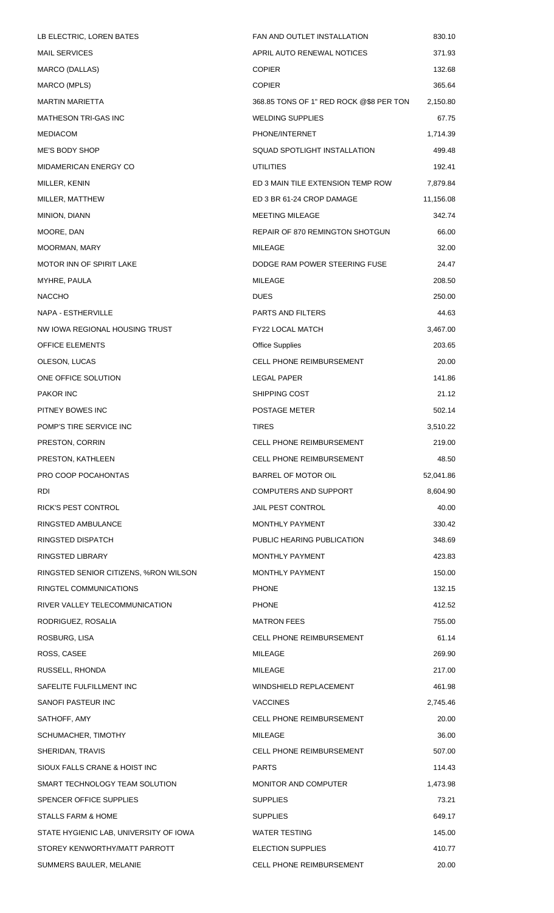| LB ELECTRIC, LOREN BATES               | FAN AND OUTLET INSTALLATION             | 830.10    |
|----------------------------------------|-----------------------------------------|-----------|
| <b>MAIL SERVICES</b>                   | APRIL AUTO RENEWAL NOTICES              | 371.93    |
| MARCO (DALLAS)                         | <b>COPIER</b>                           | 132.68    |
| MARCO (MPLS)                           | <b>COPIER</b>                           | 365.64    |
| <b>MARTIN MARIETTA</b>                 | 368.85 TONS OF 1" RED ROCK @\$8 PER TON | 2,150.80  |
| <b>MATHESON TRI-GAS INC</b>            | WELDING SUPPLIES                        | 67.75     |
| <b>MEDIACOM</b>                        | PHONE/INTERNET                          | 1,714.39  |
| ME'S BODY SHOP                         | SQUAD SPOTLIGHT INSTALLATION            | 499.48    |
| <b>MIDAMERICAN ENERGY CO</b>           | <b>UTILITIES</b>                        | 192.41    |
| MILLER, KENIN                          | ED 3 MAIN TILE EXTENSION TEMP ROW       | 7,879.84  |
| MILLER, MATTHEW                        | ED 3 BR 61-24 CROP DAMAGE               | 11,156.08 |
| MINION, DIANN                          | <b>MEETING MILEAGE</b>                  | 342.74    |
| MOORE, DAN                             | REPAIR OF 870 REMINGTON SHOTGUN         | 66.00     |
| MOORMAN, MARY                          | <b>MILEAGE</b>                          | 32.00     |
| <b>MOTOR INN OF SPIRIT LAKE</b>        | DODGE RAM POWER STEERING FUSE           | 24.47     |
| MYHRE, PAULA                           | MILEAGE                                 | 208.50    |
| <b>NACCHO</b>                          | <b>DUES</b>                             | 250.00    |
| NAPA - ESTHERVILLE                     | PARTS AND FILTERS                       | 44.63     |
| NW IOWA REGIONAL HOUSING TRUST         | <b>FY22 LOCAL MATCH</b>                 | 3,467.00  |
| <b>OFFICE ELEMENTS</b>                 | <b>Office Supplies</b>                  | 203.65    |
| OLESON, LUCAS                          | <b>CELL PHONE REIMBURSEMENT</b>         | 20.00     |
| ONE OFFICE SOLUTION                    | LEGAL PAPER                             | 141.86    |
| <b>PAKOR INC</b>                       | SHIPPING COST                           | 21.12     |
| PITNEY BOWES INC                       | POSTAGE METER                           | 502.14    |
| POMP'S TIRE SERVICE INC                | <b>TIRES</b>                            | 3,510.22  |
| PRESTON, CORRIN                        | CELL PHONE REIMBURSEMENT                | 219.00    |
| PRESTON, KATHLEEN                      | <b>CELL PHONE REIMBURSEMENT</b>         | 48.50     |
| PRO COOP POCAHONTAS                    | BARREL OF MOTOR OIL                     | 52,041.86 |
| RDI                                    | <b>COMPUTERS AND SUPPORT</b>            | 8,604.90  |
| <b>RICK'S PEST CONTROL</b>             | <b>JAIL PEST CONTROL</b>                | 40.00     |
| RINGSTED AMBULANCE                     | MONTHLY PAYMENT                         | 330.42    |
| RINGSTED DISPATCH                      | PUBLIC HEARING PUBLICATION              | 348.69    |
| RINGSTED LIBRARY                       | MONTHLY PAYMENT                         | 423.83    |
| RINGSTED SENIOR CITIZENS, %RON WILSON  | MONTHLY PAYMENT                         | 150.00    |
| RINGTEL COMMUNICATIONS                 | <b>PHONE</b>                            | 132.15    |
| RIVER VALLEY TELECOMMUNICATION         | <b>PHONE</b>                            | 412.52    |
| RODRIGUEZ, ROSALIA                     | <b>MATRON FEES</b>                      | 755.00    |
| ROSBURG, LISA                          | <b>CELL PHONE REIMBURSEMENT</b>         | 61.14     |
| ROSS, CASEE                            | MILEAGE                                 | 269.90    |
| RUSSELL, RHONDA                        | MILEAGE                                 | 217.00    |
| SAFELITE FULFILLMENT INC               | WINDSHIELD REPLACEMENT                  | 461.98    |
| SANOFI PASTEUR INC                     | <b>VACCINES</b>                         | 2,745.46  |
| SATHOFF, AMY                           | <b>CELL PHONE REIMBURSEMENT</b>         | 20.00     |
| SCHUMACHER, TIMOTHY                    | MILEAGE                                 | 36.00     |
| SHERIDAN, TRAVIS                       | <b>CELL PHONE REIMBURSEMENT</b>         | 507.00    |
| SIOUX FALLS CRANE & HOIST INC          | <b>PARTS</b>                            | 114.43    |
| SMART TECHNOLOGY TEAM SOLUTION         | MONITOR AND COMPUTER                    | 1,473.98  |
| SPENCER OFFICE SUPPLIES                | <b>SUPPLIES</b>                         | 73.21     |
| STALLS FARM & HOME                     | <b>SUPPLIES</b>                         | 649.17    |
| STATE HYGIENIC LAB, UNIVERSITY OF IOWA | <b>WATER TESTING</b>                    | 145.00    |
| STOREY KENWORTHY/MATT PARROTT          | <b>ELECTION SUPPLIES</b>                | 410.77    |
| SUMMERS BAULER, MELANIE                | CELL PHONE REIMBURSEMENT                | 20.00     |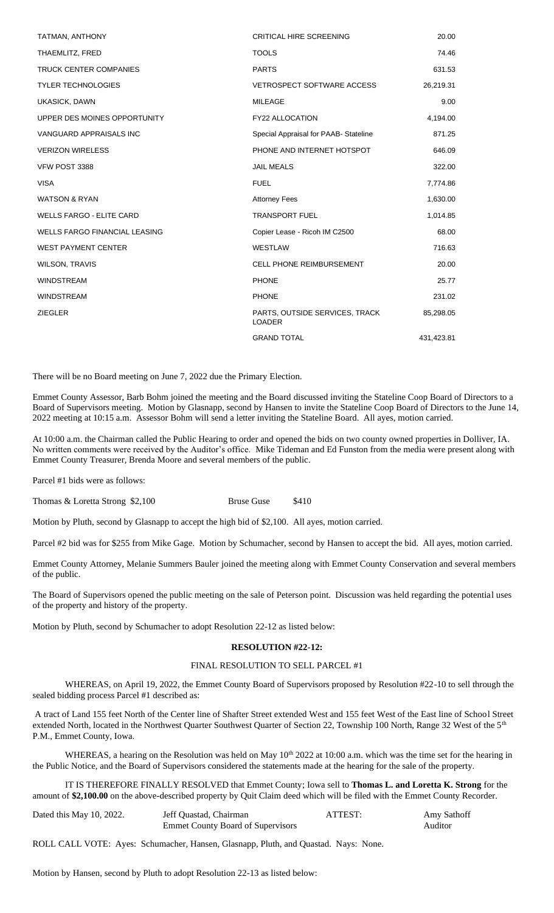| TATMAN, ANTHONY                      | <b>CRITICAL HIRE SCREENING</b>                  | 20.00      |
|--------------------------------------|-------------------------------------------------|------------|
| THAEMLITZ, FRED                      | <b>TOOLS</b>                                    | 74.46      |
| <b>TRUCK CENTER COMPANIES</b>        | <b>PARTS</b>                                    | 631.53     |
| <b>TYLER TECHNOLOGIES</b>            | <b>VETROSPECT SOFTWARE ACCESS</b>               | 26,219.31  |
| <b>UKASICK, DAWN</b>                 | <b>MILEAGE</b>                                  | 9.00       |
| UPPER DES MOINES OPPORTUNITY         | FY22 ALLOCATION                                 | 4,194.00   |
| VANGUARD APPRAISALS INC              | Special Appraisal for PAAB-Stateline            | 871.25     |
| <b>VERIZON WIRELESS</b>              | PHONE AND INTERNET HOTSPOT                      | 646.09     |
| VFW POST 3388                        | <b>JAIL MEALS</b>                               | 322.00     |
| <b>VISA</b>                          | <b>FUEL</b>                                     | 7,774.86   |
| <b>WATSON &amp; RYAN</b>             | <b>Attorney Fees</b>                            | 1,630.00   |
| <b>WELLS FARGO - ELITE CARD</b>      | <b>TRANSPORT FUEL</b>                           | 1,014.85   |
| <b>WELLS FARGO FINANCIAL LEASING</b> | Copier Lease - Ricoh IM C2500                   | 68.00      |
| <b>WEST PAYMENT CENTER</b>           | WESTLAW                                         | 716.63     |
| <b>WILSON, TRAVIS</b>                | <b>CELL PHONE REIMBURSEMENT</b>                 | 20.00      |
| <b>WINDSTREAM</b>                    | <b>PHONE</b>                                    | 25.77      |
| <b>WINDSTREAM</b>                    | <b>PHONE</b>                                    | 231.02     |
| <b>ZIEGLER</b>                       | PARTS, OUTSIDE SERVICES, TRACK<br><b>LOADER</b> | 85,298.05  |
|                                      | <b>GRAND TOTAL</b>                              | 431,423.81 |
|                                      |                                                 |            |

There will be no Board meeting on June 7, 2022 due the Primary Election.

Emmet County Assessor, Barb Bohm joined the meeting and the Board discussed inviting the Stateline Coop Board of Directors to a Board of Supervisors meeting. Motion by Glasnapp, second by Hansen to invite the Stateline Coop Board of Directors to the June 14, 2022 meeting at 10:15 a.m. Assessor Bohm will send a letter inviting the Stateline Board. All ayes, motion carried.

At 10:00 a.m. the Chairman called the Public Hearing to order and opened the bids on two county owned properties in Dolliver, IA. No written comments were received by the Auditor's office. Mike Tideman and Ed Funston from the media were present along with Emmet County Treasurer, Brenda Moore and several members of the public.

Parcel #1 bids were as follows:

Thomas & Loretta Strong \$2,100 Bruse Guse \$410

Motion by Pluth, second by Glasnapp to accept the high bid of \$2,100. All ayes, motion carried.

Parcel #2 bid was for \$255 from Mike Gage. Motion by Schumacher, second by Hansen to accept the bid. All ayes, motion carried.

Emmet County Attorney, Melanie Summers Bauler joined the meeting along with Emmet County Conservation and several members of the public.

The Board of Supervisors opened the public meeting on the sale of Peterson point. Discussion was held regarding the potential uses of the property and history of the property.

Motion by Pluth, second by Schumacher to adopt Resolution 22-12 as listed below:

### **RESOLUTION #22-12:**

### FINAL RESOLUTION TO SELL PARCEL #1

WHEREAS, on April 19, 2022, the Emmet County Board of Supervisors proposed by Resolution #22-10 to sell through the sealed bidding process Parcel #1 described as:

A tract of Land 155 feet North of the Center line of Shafter Street extended West and 155 feet West of the East line of School Street extended North, located in the Northwest Quarter Southwest Quarter of Section 22, Township 100 North, Range 32 West of the 5<sup>th</sup> P.M., Emmet County, Iowa.

WHEREAS, a hearing on the Resolution was held on May  $10<sup>th</sup> 2022$  at 10:00 a.m. which was the time set for the hearing in the Public Notice, and the Board of Supervisors considered the statements made at the hearing for the sale of the property.

IT IS THEREFORE FINALLY RESOLVED that Emmet County; Iowa sell to **Thomas L. and Loretta K. Strong** for the amount of **\$2,100.00** on the above-described property by Quit Claim deed which will be filed with the Emmet County Recorder.

| Dated this May 10, 2022. | Jeff Quastad, Chairman                   | ATTEST: | Amy Sathoff |
|--------------------------|------------------------------------------|---------|-------------|
|                          | <b>Emmet County Board of Supervisors</b> |         | Auditor     |

ROLL CALL VOTE: Ayes: Schumacher, Hansen, Glasnapp, Pluth, and Quastad. Nays: None.

Motion by Hansen, second by Pluth to adopt Resolution 22-13 as listed below: